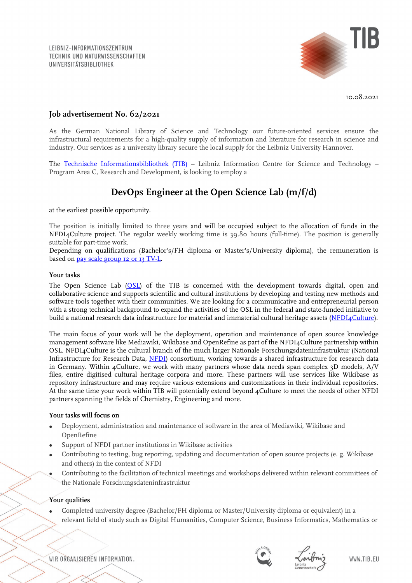

10.08.2021

# **Job advertisement No. 62/2021**

As the German National Library of Science and Technology our future-oriented services ensure the infrastructural requirements for a high-quality supply of information and literature for research in science and industry. Our services as a university library secure the local supply for the Leibniz University Hannover.

The [Technische Informationsbibliothek \(TIB\)](https://www.tib.eu/en/) – Leibniz Information Centre for Science and Technology – Program Area C, Research and Development, is looking to employ a

# **DevOps Engineer at the Open Science Lab (m/f/d)**

at the earliest possible opportunity.

The position is initially limited to three years and will be occupied subject to the allocation of funds in the NFDI4Culture project. The regular weekly working time is 39.80 hours (full-time). The position is generally suitable for part-time work.

Depending on qualifications (Bachelor's/FH diploma or Master's/University diploma), the remuneration is based o[n pay scale group 12 or 13 TV-L.](http://oeffentlicher-dienst.info/c/t/rechner/tv-l/west?id=tv-l-2021&matrix=1)

#### **Your tasks**

The Open Science Lab [\(OSL\)](https://www.tib.eu/en/research-development/open-science) of the TIB is concerned with the development towards digital, open and collaborative science and supports scientific and cultural institutions by developing and testing new methods and software tools together with their communities. We are looking for a communicative and entrepreneurial person with a strong technical background to expand the activities of the OSL in the federal and state-funded initiative to build a national research data infrastructure for material and immaterial cultural heritage assets [\(NFDI4Culture\)](https://nfdi4culture.de/).

The main focus of your work will be the deployment, operation and maintenance of open source knowledge management software like Mediawiki, Wikibase and OpenRefine as part of the NFDI4Culture partnership within OSL. NFDI4Culture is the cultural branch of the much larger Nationale Forschungsdateninfrastruktur (National Infrastructure for Research Data, [NFDI\)](https://www.nfdi.de/) consortium, working towards a shared infrastructure for research data in Germany. Within 4Culture, we work with many partners whose data needs span complex 3D models, A/V files, entire digitised cultural heritage corpora and more. These partners will use services like Wikibase as repository infrastructure and may require various extensions and customizations in their individual repositories. At the same time your work within TIB will potentially extend beyond 4Culture to meet the needs of other NFDI partners spanning the fields of Chemistry, Engineering and more.

#### **Your tasks will focus on**

- Deployment, administration and maintenance of software in the area of Mediawiki, Wikibase and OpenRefine
- Support of NFDI partner institutions in Wikibase activities
- Contributing to testing, bug reporting, updating and documentation of open source projects (e. g. Wikibase and others) in the context of NFDI
- Contributing to the facilitation of technical meetings and workshops delivered within relevant committees of the Nationale Forschungsdateninfrastruktur

#### **Your qualities**

• Completed university degree (Bachelor/FH diploma or Master/University diploma or equivalent) in a relevant field of study such as Digital Humanities, Computer Science, Business Informatics, Mathematics or

WIR ORGANISIEREN INFORMATION.



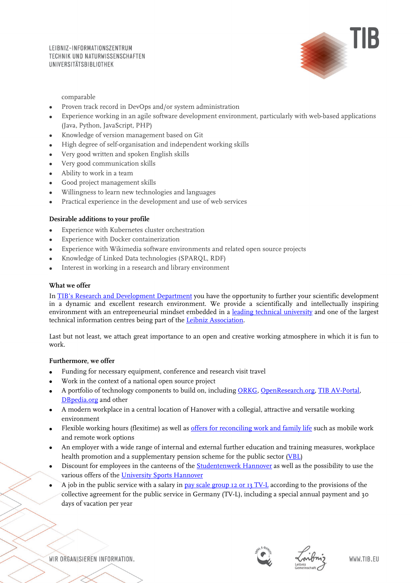LEIBNIZ-INFORMATIONSZENTRUM TECHNIK UND NATURWISSENSCHAFTEN **UNIVERSITÄTSBIBLIOTHEK** 



## comparable

- Proven track record in DevOps and/or system administration
- Experience working in an agile software development environment, particularly with web-based applications (Java, Python, JavaScript, PHP)
- Knowledge of version management based on Git
- High degree of self-organisation and independent working skills
- Very good written and spoken English skills
- Very good communication skills
- Ability to work in a team
- Good project management skills
- Willingness to learn new technologies and languages
- Practical experience in the development and use of web services

#### **Desirable additions to your profile**

- Experience with Kubernetes cluster orchestration
- Experience with Docker containerization
- Experience with Wikimedia software environments and related open source projects
- Knowledge of Linked Data technologies (SPARQL, RDF)
- Interest in working in a research and library environment

# **What we offer**

In [TIB's Research and Development Department](https://www.tib.eu/en/research-development/) you have the opportunity to further your scientific development in a dynamic and excellent research environment. We provide a scientifically and intellectually inspiring environment with an entrepreneurial mindset embedded in a [leading technical university](https://www.tu9.de/en/) and one of the largest technical information centres being part of the [Leibniz Association.](https://www.leibniz-gemeinschaft.de/en/)

Last but not least, we attach great importance to an open and creative working atmosphere in which it is fun to work.

#### **Furthermore, we offer**

- Funding for necessary equipment, conference and research visit travel
- Work in the context of a national open source project
- A portfolio of technology components to build on, includin[g ORKG,](https://projects.tib.eu/orkg/) [OpenResearch.org,](https://www.openresearch.org/wiki/Main_Page) [TIB AV-Portal,](https://av.tib.eu/) [DBpedia.org](https://wiki.dbpedia.org/) and other
- A modern workplace in a central location of Hanover with a collegial, attractive and versatile working environment
- Flexible working hours (flexitime) as well as [offers for reconciling work and family life](https://www.tib.eu/en/tib/careers-and-apprenticeships/equal-opportunities/) such as mobile work and remote work options
- An employer with a wide range of internal and external further education and training measures, workplace health promotion and a supplementary pension scheme for the public sector [\(VBL\)](https://www.vbl.de/de?t=/VBL/english&i=1113979957474&l=0&e=UTF-8&ParentID=1228245487465)
- Discount for employees in the canteens of the **Studentenwerk Hannover** as well as the possibility to use the various offers of the [University Sports Hannover](https://www.hochschulsport-hannover.de/en/)
- A job in the public service with a salary in [pay scale group 12 or 13 TV-L](http://oeffentlicher-dienst.info/c/t/rechner/tv-l/west?id=tv-l-2021&matrix=1) according to the provisions of the collective agreement for the public service in Germany (TV-L), including a special annual payment and 30 days of vacation per year

WIR ORGANISIEREN INFORMATION.